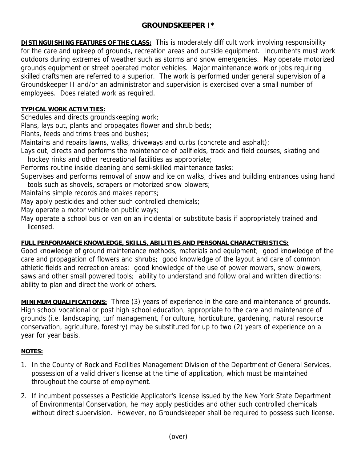## **GROUNDSKEEPER I\***

**DISTINGUISHING FEATURES OF THE CLASS:** This is moderately difficult work involving responsibility for the care and upkeep of grounds, recreation areas and outside equipment. Incumbents must work outdoors during extremes of weather such as storms and snow emergencies. May operate motorized grounds equipment or street operated motor vehicles. Major maintenance work or jobs requiring skilled craftsmen are referred to a superior. The work is performed under general supervision of a Groundskeeper II and/or an administrator and supervision is exercised over a small number of employees. Does related work as required.

## **TYPICAL WORK ACTIVITIES:**

Schedules and directs groundskeeping work;

Plans, lays out, plants and propagates flower and shrub beds;

Plants, feeds and trims trees and bushes;

Maintains and repairs lawns, walks, driveways and curbs (concrete and asphalt);

Lays out, directs and performs the maintenance of ballfields, track and field courses, skating and hockey rinks and other recreational facilities as appropriate;

Performs routine inside cleaning and semi-skilled maintenance tasks;

Supervises and performs removal of snow and ice on walks, drives and building entrances using hand tools such as shovels, scrapers or motorized snow blowers;

Maintains simple records and makes reports;

May apply pesticides and other such controlled chemicals;

May operate a motor vehicle on public ways;

May operate a school bus or van on an incidental or substitute basis if appropriately trained and licensed.

## **FULL PERFORMANCE KNOWLEDGE, SKILLS, ABILITIES AND PERSONAL CHARACTERISTICS:**

Good knowledge of ground maintenance methods, materials and equipment; good knowledge of the care and propagation of flowers and shrubs; good knowledge of the layout and care of common athletic fields and recreation areas; good knowledge of the use of power mowers, snow blowers, saws and other small powered tools; ability to understand and follow oral and written directions; ability to plan and direct the work of others.

**MINIMUM QUALIFICATIONS:** Three (3) years of experience in the care and maintenance of grounds. High school vocational or post high school education, appropriate to the care and maintenance of grounds (i.e. landscaping, turf management, floriculture, horticulture, gardening, natural resource conservation, agriculture, forestry) may be substituted for up to two (2) years of experience on a year for year basis.

## **NOTES:**

- 1. In the County of Rockland Facilities Management Division of the Department of General Services, possession of a valid driver's license at the time of application, which must be maintained throughout the course of employment.
- 2. If incumbent possesses a Pesticide Applicator's license issued by the New York State Department of Environmental Conservation, he may apply pesticides and other such controlled chemicals without direct supervision. However, no Groundskeeper shall be required to possess such license.